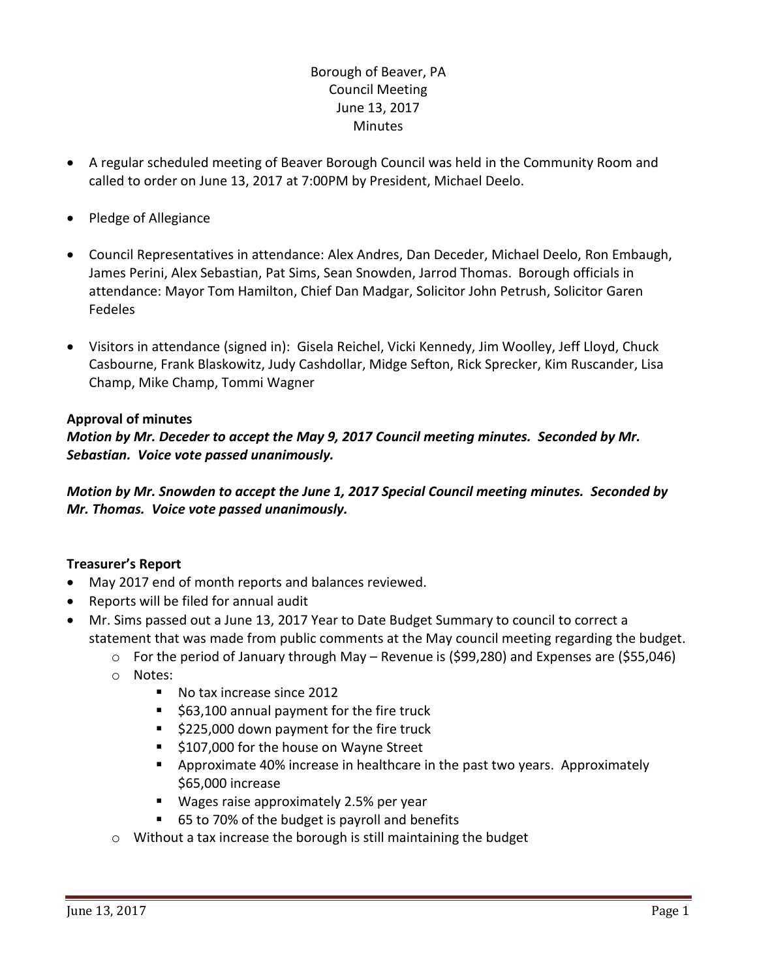# Borough of Beaver, PA Council Meeting June 13, 2017 **Minutes**

- A regular scheduled meeting of Beaver Borough Council was held in the Community Room and called to order on June 13, 2017 at 7:00PM by President, Michael Deelo.
- Pledge of Allegiance
- Council Representatives in attendance: Alex Andres, Dan Deceder, Michael Deelo, Ron Embaugh, James Perini, Alex Sebastian, Pat Sims, Sean Snowden, Jarrod Thomas. Borough officials in attendance: Mayor Tom Hamilton, Chief Dan Madgar, Solicitor John Petrush, Solicitor Garen Fedeles
- Visitors in attendance (signed in): Gisela Reichel, Vicki Kennedy, Jim Woolley, Jeff Lloyd, Chuck Casbourne, Frank Blaskowitz, Judy Cashdollar, Midge Sefton, Rick Sprecker, Kim Ruscander, Lisa Champ, Mike Champ, Tommi Wagner

### **Approval of minutes**

*Motion by Mr. Deceder to accept the May 9, 2017 Council meeting minutes. Seconded by Mr. Sebastian. Voice vote passed unanimously.* 

*Motion by Mr. Snowden to accept the June 1, 2017 Special Council meeting minutes. Seconded by Mr. Thomas. Voice vote passed unanimously.* 

## **Treasurer's Report**

- May 2017 end of month reports and balances reviewed.
- Reports will be filed for annual audit
- Mr. Sims passed out a June 13, 2017 Year to Date Budget Summary to council to correct a statement that was made from public comments at the May council meeting regarding the budget.
	- o For the period of January through May Revenue is (\$99,280) and Expenses are (\$55,046)
	- o Notes:
		- No tax increase since 2012
		- $\blacksquare$  \$63,100 annual payment for the fire truck
		- \$225,000 down payment for the fire truck
		- \$107,000 for the house on Wayne Street
		- **•** Approximate 40% increase in healthcare in the past two years. Approximately \$65,000 increase
		- Wages raise approximately 2.5% per year
		- 65 to 70% of the budget is payroll and benefits
	- o Without a tax increase the borough is still maintaining the budget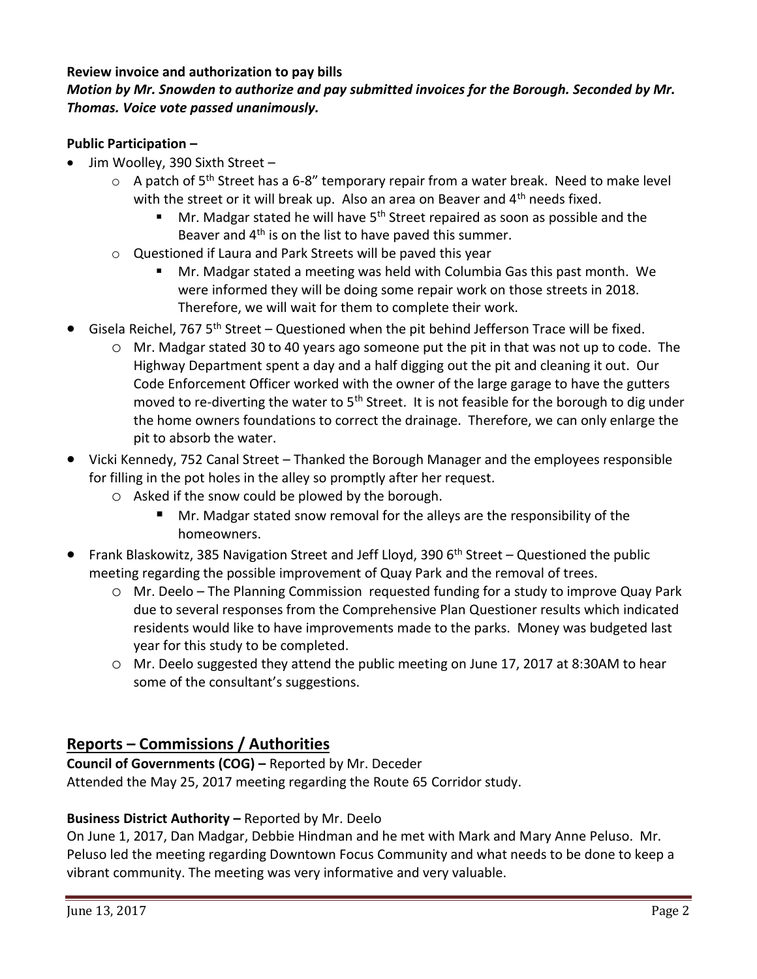## **Review invoice and authorization to pay bills**

# *Motion by Mr. Snowden to authorize and pay submitted invoices for the Borough. Seconded by Mr. Thomas. Voice vote passed unanimously.*

### **Public Participation –**

- Jim Woolley, 390 Sixth Street
	- $\circ$  A patch of 5<sup>th</sup> Street has a 6-8" temporary repair from a water break. Need to make level with the street or it will break up. Also an area on Beaver and  $4<sup>th</sup>$  needs fixed.
		- Mr. Madgar stated he will have 5<sup>th</sup> Street repaired as soon as possible and the Beaver and 4<sup>th</sup> is on the list to have paved this summer.
	- o Questioned if Laura and Park Streets will be paved this year
		- Mr. Madgar stated a meeting was held with Columbia Gas this past month. We were informed they will be doing some repair work on those streets in 2018. Therefore, we will wait for them to complete their work.
- Gisela Reichel, 767 5<sup>th</sup> Street Questioned when the pit behind Jefferson Trace will be fixed.
	- o Mr. Madgar stated 30 to 40 years ago someone put the pit in that was not up to code. The Highway Department spent a day and a half digging out the pit and cleaning it out. Our Code Enforcement Officer worked with the owner of the large garage to have the gutters moved to re-diverting the water to  $5<sup>th</sup>$  Street. It is not feasible for the borough to dig under the home owners foundations to correct the drainage. Therefore, we can only enlarge the pit to absorb the water.
- Vicki Kennedy, 752 Canal Street Thanked the Borough Manager and the employees responsible for filling in the pot holes in the alley so promptly after her request.
	- o Asked if the snow could be plowed by the borough.
		- Mr. Madgar stated snow removal for the alleys are the responsibility of the homeowners.
- Frank Blaskowitz, 385 Navigation Street and Jeff Lloyd, 390  $6<sup>th</sup>$  Street Questioned the public meeting regarding the possible improvement of Quay Park and the removal of trees.
	- o Mr. Deelo The Planning Commission requested funding for a study to improve Quay Park due to several responses from the Comprehensive Plan Questioner results which indicated residents would like to have improvements made to the parks. Money was budgeted last year for this study to be completed.
	- o Mr. Deelo suggested they attend the public meeting on June 17, 2017 at 8:30AM to hear some of the consultant's suggestions.

# **Reports – Commissions / Authorities**

**Council of Governments (COG) –** Reported by Mr. Deceder Attended the May 25, 2017 meeting regarding the Route 65 Corridor study.

## **Business District Authority –** Reported by Mr. Deelo

On June 1, 2017, Dan Madgar, Debbie Hindman and he met with Mark and Mary Anne Peluso. Mr. Peluso led the meeting regarding Downtown Focus Community and what needs to be done to keep a vibrant community. The meeting was very informative and very valuable.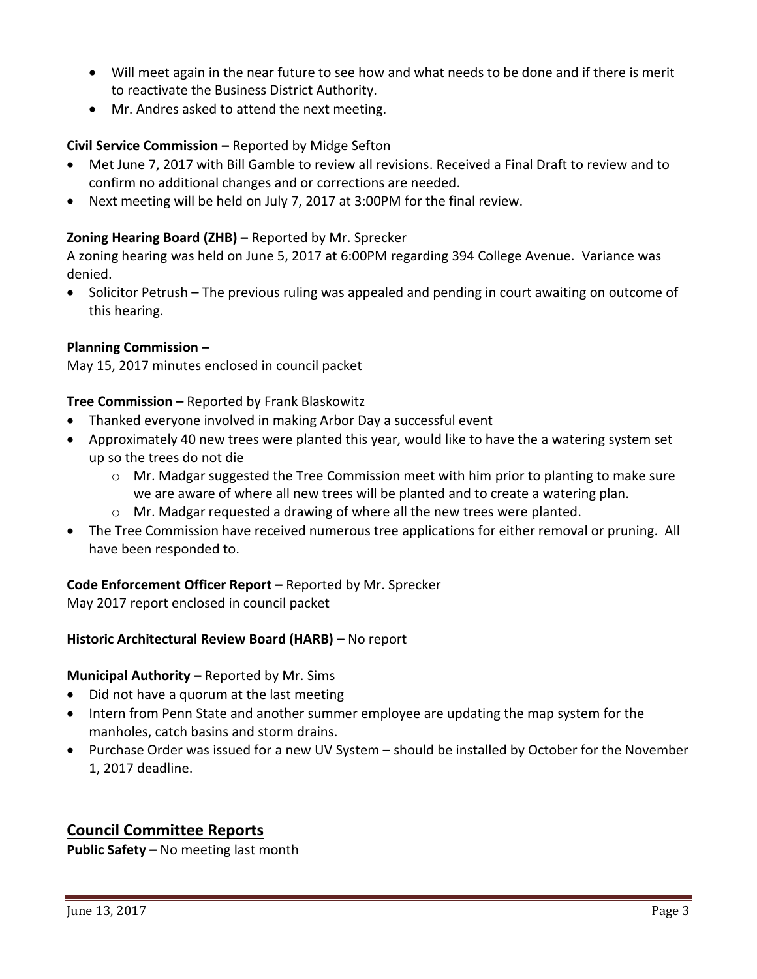- Will meet again in the near future to see how and what needs to be done and if there is merit to reactivate the Business District Authority.
- Mr. Andres asked to attend the next meeting.

## **Civil Service Commission –** Reported by Midge Sefton

- Met June 7, 2017 with Bill Gamble to review all revisions. Received a Final Draft to review and to confirm no additional changes and or corrections are needed.
- Next meeting will be held on July 7, 2017 at 3:00PM for the final review.

## **Zoning Hearing Board (ZHB) –** Reported by Mr. Sprecker

A zoning hearing was held on June 5, 2017 at 6:00PM regarding 394 College Avenue. Variance was denied.

 Solicitor Petrush – The previous ruling was appealed and pending in court awaiting on outcome of this hearing.

### **Planning Commission –**

May 15, 2017 minutes enclosed in council packet

### **Tree Commission –** Reported by Frank Blaskowitz

- Thanked everyone involved in making Arbor Day a successful event
- Approximately 40 new trees were planted this year, would like to have the a watering system set up so the trees do not die
	- $\circ$  Mr. Madgar suggested the Tree Commission meet with him prior to planting to make sure we are aware of where all new trees will be planted and to create a watering plan.
	- $\circ$  Mr. Madgar requested a drawing of where all the new trees were planted.
- The Tree Commission have received numerous tree applications for either removal or pruning. All have been responded to.

## **Code Enforcement Officer Report –** Reported by Mr. Sprecker

May 2017 report enclosed in council packet

## **Historic Architectural Review Board (HARB) –** No report

#### **Municipal Authority – Reported by Mr. Sims**

- Did not have a quorum at the last meeting
- Intern from Penn State and another summer employee are updating the map system for the manholes, catch basins and storm drains.
- Purchase Order was issued for a new UV System should be installed by October for the November 1, 2017 deadline.

# **Council Committee Reports**

**Public Safety –** No meeting last month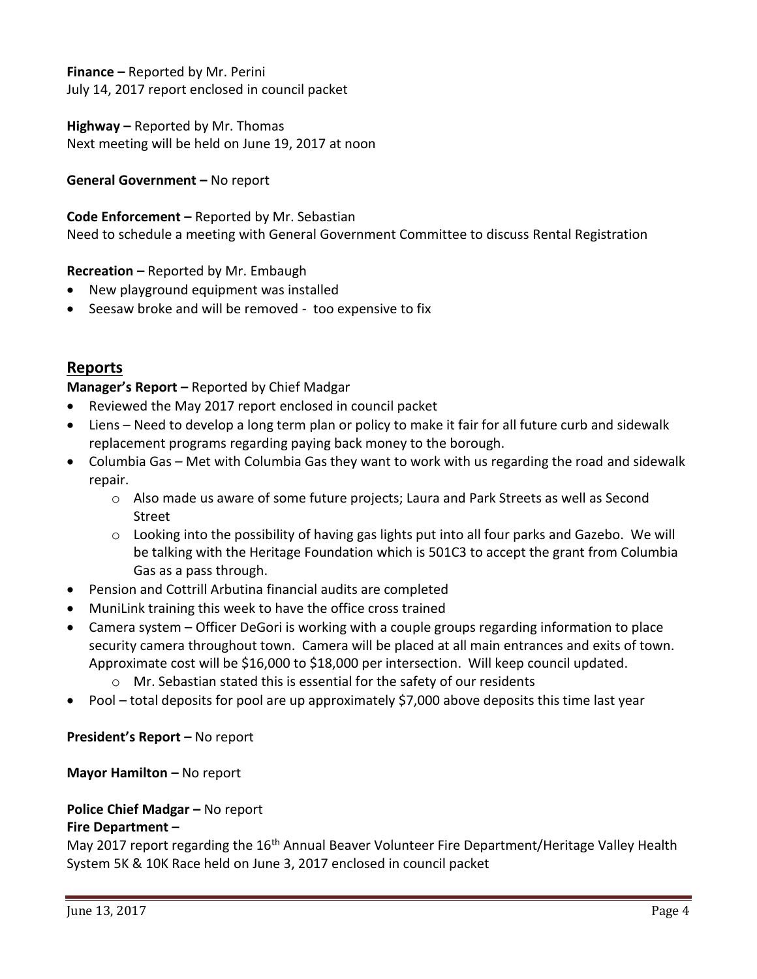**Finance –** Reported by Mr. Perini July 14, 2017 report enclosed in council packet

**Highway –** Reported by Mr. Thomas Next meeting will be held on June 19, 2017 at noon

**General Government –** No report

**Code Enforcement –** Reported by Mr. Sebastian Need to schedule a meeting with General Government Committee to discuss Rental Registration

## **Recreation –** Reported by Mr. Embaugh

- New playground equipment was installed
- Seesaw broke and will be removed too expensive to fix

# **Reports**

**Manager's Report –** Reported by Chief Madgar

- Reviewed the May 2017 report enclosed in council packet
- Liens Need to develop a long term plan or policy to make it fair for all future curb and sidewalk replacement programs regarding paying back money to the borough.
- Columbia Gas Met with Columbia Gas they want to work with us regarding the road and sidewalk repair.
	- $\circ$  Also made us aware of some future projects; Laura and Park Streets as well as Second Street
	- $\circ$  Looking into the possibility of having gas lights put into all four parks and Gazebo. We will be talking with the Heritage Foundation which is 501C3 to accept the grant from Columbia Gas as a pass through.
- Pension and Cottrill Arbutina financial audits are completed
- MuniLink training this week to have the office cross trained
- Camera system Officer DeGori is working with a couple groups regarding information to place security camera throughout town. Camera will be placed at all main entrances and exits of town. Approximate cost will be \$16,000 to \$18,000 per intersection. Will keep council updated.
	- o Mr. Sebastian stated this is essential for the safety of our residents
- Pool total deposits for pool are up approximately \$7,000 above deposits this time last year

**President's Report –** No report

**Mayor Hamilton – No report** 

# **Police Chief Madgar – No report Fire Department –**

May 2017 report regarding the 16<sup>th</sup> Annual Beaver Volunteer Fire Department/Heritage Valley Health System 5K & 10K Race held on June 3, 2017 enclosed in council packet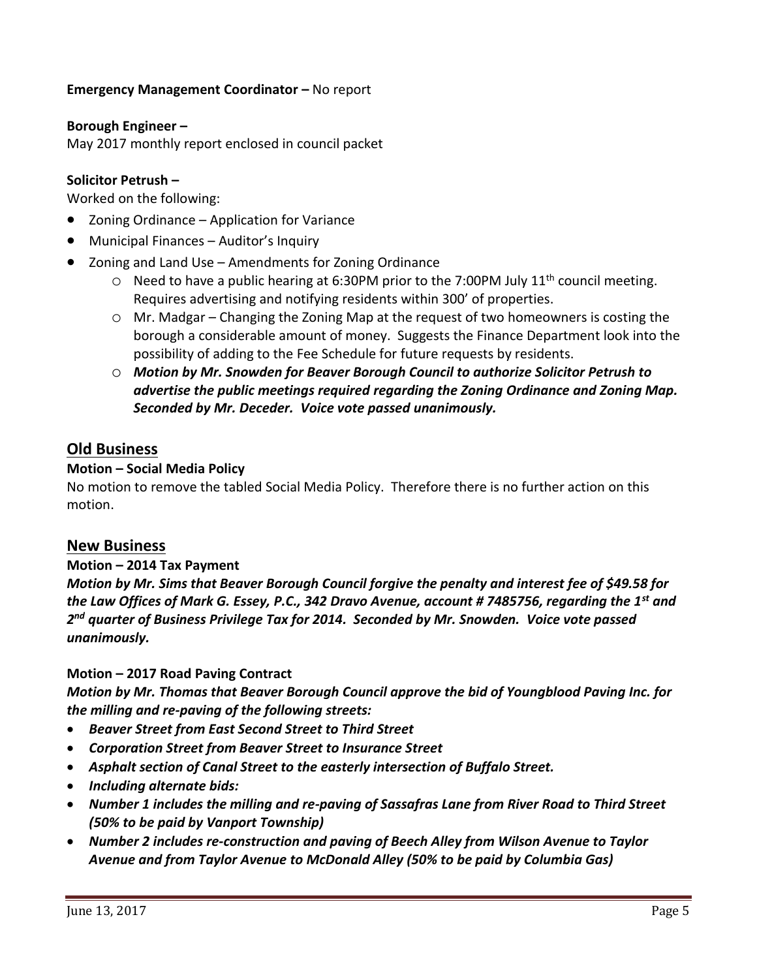## **Emergency Management Coordinator – No report**

#### **Borough Engineer –**

May 2017 monthly report enclosed in council packet

### **Solicitor Petrush –**

Worked on the following:

- Zoning Ordinance Application for Variance
- Municipal Finances Auditor's Inquiry
- Zoning and Land Use Amendments for Zoning Ordinance
	- $\circ$  Need to have a public hearing at 6:30PM prior to the 7:00PM July 11<sup>th</sup> council meeting. Requires advertising and notifying residents within 300' of properties.
	- o Mr. Madgar Changing the Zoning Map at the request of two homeowners is costing the borough a considerable amount of money. Suggests the Finance Department look into the possibility of adding to the Fee Schedule for future requests by residents.
	- o *Motion by Mr. Snowden for Beaver Borough Council to authorize Solicitor Petrush to advertise the public meetings required regarding the Zoning Ordinance and Zoning Map. Seconded by Mr. Deceder. Voice vote passed unanimously.*

## **Old Business**

#### **Motion – Social Media Policy**

No motion to remove the tabled Social Media Policy. Therefore there is no further action on this motion.

#### **New Business**

#### **Motion – 2014 Tax Payment**

*Motion by Mr. Sims that Beaver Borough Council forgive the penalty and interest fee of \$49.58 for the Law Offices of Mark G. Essey, P.C., 342 Dravo Avenue, account # 7485756, regarding the 1st and 2 nd quarter of Business Privilege Tax for 2014. Seconded by Mr. Snowden. Voice vote passed unanimously.*

#### **Motion – 2017 Road Paving Contract**

*Motion by Mr. Thomas that Beaver Borough Council approve the bid of Youngblood Paving Inc. for the milling and re-paving of the following streets:* 

- *Beaver Street from East Second Street to Third Street*
- *Corporation Street from Beaver Street to Insurance Street*
- *Asphalt section of Canal Street to the easterly intersection of Buffalo Street.*
- *Including alternate bids:*
- *Number 1 includes the milling and re-paving of Sassafras Lane from River Road to Third Street (50% to be paid by Vanport Township)*
- *Number 2 includes re-construction and paving of Beech Alley from Wilson Avenue to Taylor Avenue and from Taylor Avenue to McDonald Alley (50% to be paid by Columbia Gas)*